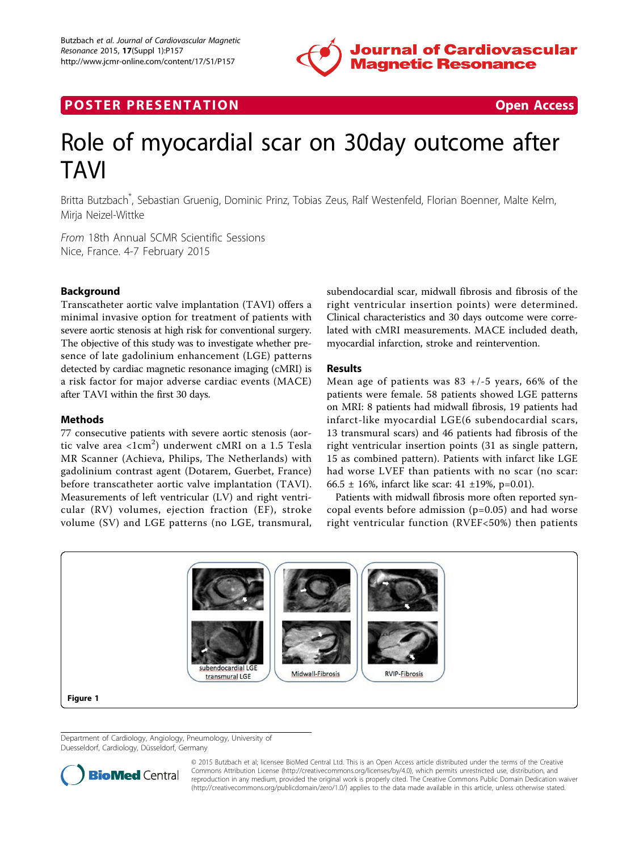

# **POSTER PRESENTATION CONSUMING THE SECOND CONSUMING THE SECOND CONSUMING THE SECOND CONSUMING THE SECOND CONSUMING THE SECOND CONSUMING THE SECOND CONSUMING THE SECOND CONSUMING THE SECOND CONSUMING THE SECOND CONSUMING**



# Role of myocardial scar on 30day outcome after **TAVI**

Britta Butzbach\* , Sebastian Gruenig, Dominic Prinz, Tobias Zeus, Ralf Westenfeld, Florian Boenner, Malte Kelm, Mirja Neizel-Wittke

From 18th Annual SCMR Scientific Sessions Nice, France. 4-7 February 2015

### Background

Transcatheter aortic valve implantation (TAVI) offers a minimal invasive option for treatment of patients with severe aortic stenosis at high risk for conventional surgery. The objective of this study was to investigate whether presence of late gadolinium enhancement (LGE) patterns detected by cardiac magnetic resonance imaging (cMRI) is a risk factor for major adverse cardiac events (MACE) after TAVI within the first 30 days.

#### Methods

77 consecutive patients with severe aortic stenosis (aortic valve area <1 $\rm cm^2)$  underwent cMRI on a 1.5 Tesla MR Scanner (Achieva, Philips, The Netherlands) with gadolinium contrast agent (Dotarem, Guerbet, France) before transcatheter aortic valve implantation (TAVI). Measurements of left ventricular (LV) and right ventricular (RV) volumes, ejection fraction (EF), stroke volume (SV) and LGE patterns (no LGE, transmural,

subendocardial scar, midwall fibrosis and fibrosis of the right ventricular insertion points) were determined. Clinical characteristics and 30 days outcome were correlated with cMRI measurements. MACE included death, myocardial infarction, stroke and reintervention.

#### Results

Mean age of patients was  $83 +/-5$  years, 66% of the patients were female. 58 patients showed LGE patterns on MRI: 8 patients had midwall fibrosis, 19 patients had infarct-like myocardial LGE(6 subendocardial scars, 13 transmural scars) and 46 patients had fibrosis of the right ventricular insertion points (31 as single pattern, 15 as combined pattern). Patients with infarct like LGE had worse LVEF than patients with no scar (no scar: 66.5 ± 16%, infarct like scar: 41 ± 19%, p=0.01).

Patients with midwall fibrosis more often reported syncopal events before admission (p=0.05) and had worse right ventricular function (RVEF<50%) then patients



Department of Cardiology, Angiology, Pneumology, University of Duesseldorf, Cardiology, Düsseldorf, Germany



© 2015 Butzbach et al; licensee BioMed Central Ltd. This is an Open Access article distributed under the terms of the Creative Commons Attribution License [\(http://creativecommons.org/licenses/by/4.0](http://creativecommons.org/licenses/by/4.0)), which permits unrestricted use, distribution, and reproduction in any medium, provided the original work is properly cited. The Creative Commons Public Domain Dedication waiver [\(http://creativecommons.org/publicdomain/zero/1.0/](http://creativecommons.org/publicdomain/zero/1.0/)) applies to the data made available in this article, unless otherwise stated.